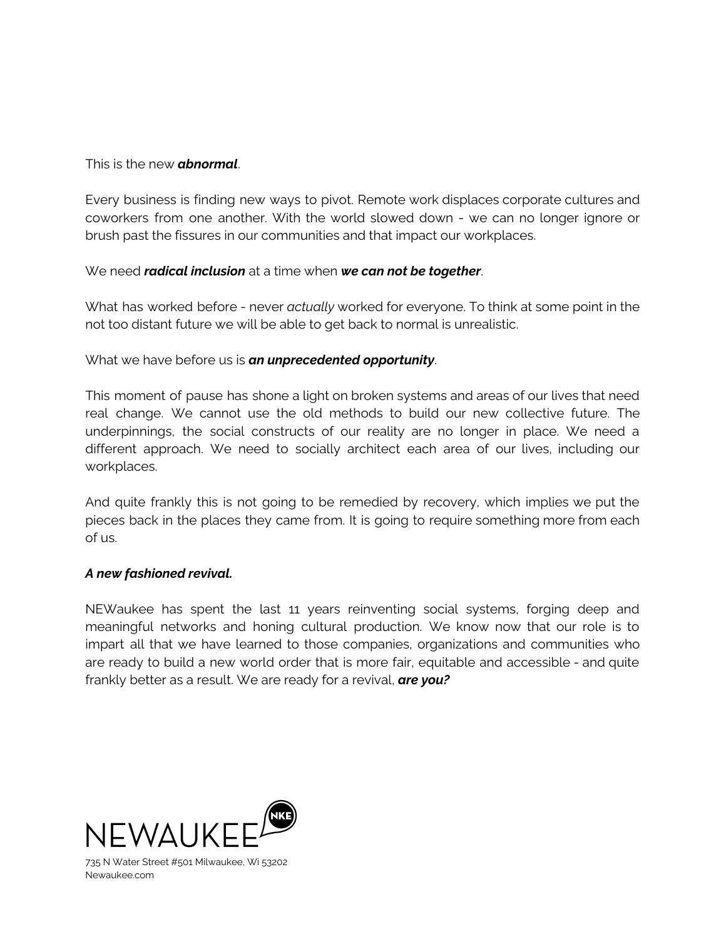## This is the new *abnormal*.

Every business is finding new ways to pivot. Remote work displaces corporate cultures and coworkers from one another. With the world slowed down - we can no longer ignore or brush past the fissures in our communities and that impact our workplaces.

## We need *radical inclusion* at a time when *we can not be together*.

What has worked before - never *actually* worked for everyone. To think at some point in the not too distant future we will be able to get back to normal is unrealistic.

What we have before us is *an unprecedented opportunity*.

This moment of pause has shone a light on broken systems and areas of our lives that need real change. We cannot use the old methods to build our new collective future. The underpinnings, the social constructs of our reality are no longer in place. We need a different approach. We need to socially architect each area of our lives, including our workplaces.

And quite frankly this is not going to be remedied by recovery, which implies we put the pieces back in the places they came from. It is going to require something more from each of us.

## *A new fashioned revival.*

NEWaukee has spent the last 11 years reinventing social systems, forging deep and meaningful networks and honing cultural production. We know now that our role is to impart all that we have learned to those companies, organizations and communities who are ready to build a new world order that is more fair, equitable and accessible - and quite frankly better as a result. We are ready for a revival, *are you?*